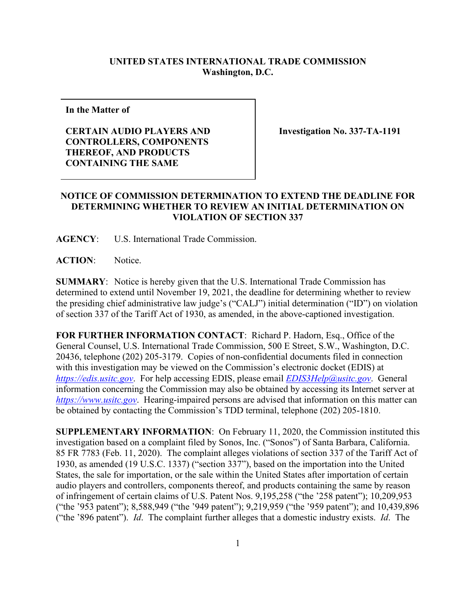## **UNITED STATES INTERNATIONAL TRADE COMMISSION Washington, D.C.**

**In the Matter of**

## **CERTAIN AUDIO PLAYERS AND CONTROLLERS, COMPONENTS THEREOF, AND PRODUCTS CONTAINING THE SAME**

**Investigation No. 337-TA-1191**

## **NOTICE OF COMMISSION DETERMINATION TO EXTEND THE DEADLINE FOR DETERMINING WHETHER TO REVIEW AN INITIAL DETERMINATION ON VIOLATION OF SECTION 337**

**AGENCY**: U.S. International Trade Commission.

**ACTION**: Notice.

**SUMMARY**: Notice is hereby given that the U.S. International Trade Commission has determined to extend until November 19, 2021, the deadline for determining whether to review the presiding chief administrative law judge's ("CALJ") initial determination ("ID") on violation of section 337 of the Tariff Act of 1930, as amended, in the above-captioned investigation.

**FOR FURTHER INFORMATION CONTACT**: Richard P. Hadorn, Esq., Office of the General Counsel, U.S. International Trade Commission, 500 E Street, S.W., Washington, D.C. 20436, telephone (202) 205-3179. Copies of non-confidential documents filed in connection with this investigation may be viewed on the Commission's electronic docket (EDIS) at *[https://edis.usitc.gov](https://edis.usitc.gov/)*. For help accessing EDIS, please email *[EDIS3Help@usitc.gov](mailto:EDIS3Help@usitc.gov)*. General information concerning the Commission may also be obtained by accessing its Internet server at *[https://www.usitc.gov](https://www.usitc.gov/)*. Hearing-impaired persons are advised that information on this matter can be obtained by contacting the Commission's TDD terminal, telephone (202) 205-1810.

**SUPPLEMENTARY INFORMATION**: On February 11, 2020, the Commission instituted this investigation based on a complaint filed by Sonos, Inc. ("Sonos") of Santa Barbara, California. 85 FR 7783 (Feb. 11, 2020). The complaint alleges violations of section 337 of the Tariff Act of 1930, as amended (19 U.S.C. 1337) ("section 337"), based on the importation into the United States, the sale for importation, or the sale within the United States after importation of certain audio players and controllers, components thereof, and products containing the same by reason of infringement of certain claims of U.S. Patent Nos. 9,195,258 ("the '258 patent"); 10,209,953 ("the '953 patent"); 8,588,949 ("the '949 patent"); 9,219,959 ("the '959 patent"); and 10,439,896 ("the '896 patent"). *Id*. The complaint further alleges that a domestic industry exists. *Id*. The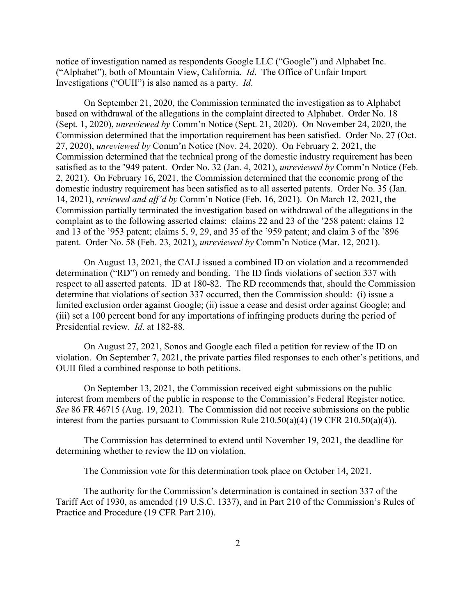notice of investigation named as respondents Google LLC ("Google") and Alphabet Inc. ("Alphabet"), both of Mountain View, California. *Id*. The Office of Unfair Import Investigations ("OUII") is also named as a party. *Id*.

On September 21, 2020, the Commission terminated the investigation as to Alphabet based on withdrawal of the allegations in the complaint directed to Alphabet. Order No. 18 (Sept. 1, 2020), *unreviewed by* Comm'n Notice (Sept. 21, 2020). On November 24, 2020, the Commission determined that the importation requirement has been satisfied. Order No. 27 (Oct. 27, 2020), *unreviewed by* Comm'n Notice (Nov. 24, 2020). On February 2, 2021, the Commission determined that the technical prong of the domestic industry requirement has been satisfied as to the '949 patent. Order No. 32 (Jan. 4, 2021), *unreviewed by* Comm'n Notice (Feb. 2, 2021). On February 16, 2021, the Commission determined that the economic prong of the domestic industry requirement has been satisfied as to all asserted patents. Order No. 35 (Jan. 14, 2021), *reviewed and aff'd by* Comm'n Notice (Feb. 16, 2021). On March 12, 2021, the Commission partially terminated the investigation based on withdrawal of the allegations in the complaint as to the following asserted claims: claims 22 and 23 of the '258 patent; claims 12 and 13 of the '953 patent; claims 5, 9, 29, and 35 of the '959 patent; and claim 3 of the '896 patent. Order No. 58 (Feb. 23, 2021), *unreviewed by* Comm'n Notice (Mar. 12, 2021).

On August 13, 2021, the CALJ issued a combined ID on violation and a recommended determination ("RD") on remedy and bonding. The ID finds violations of section 337 with respect to all asserted patents. ID at 180-82. The RD recommends that, should the Commission determine that violations of section 337 occurred, then the Commission should: (i) issue a limited exclusion order against Google; (ii) issue a cease and desist order against Google; and (iii) set a 100 percent bond for any importations of infringing products during the period of Presidential review. *Id*. at 182-88.

On August 27, 2021, Sonos and Google each filed a petition for review of the ID on violation. On September 7, 2021, the private parties filed responses to each other's petitions, and OUII filed a combined response to both petitions.

On September 13, 2021, the Commission received eight submissions on the public interest from members of the public in response to the Commission's Federal Register notice. *See* 86 FR 46715 (Aug. 19, 2021). The Commission did not receive submissions on the public interest from the parties pursuant to Commission Rule 210.50(a)(4) (19 CFR 210.50(a)(4)).

The Commission has determined to extend until November 19, 2021, the deadline for determining whether to review the ID on violation.

The Commission vote for this determination took place on October 14, 2021.

The authority for the Commission's determination is contained in section 337 of the Tariff Act of 1930, as amended (19 U.S.C. 1337), and in Part 210 of the Commission's Rules of Practice and Procedure (19 CFR Part 210).